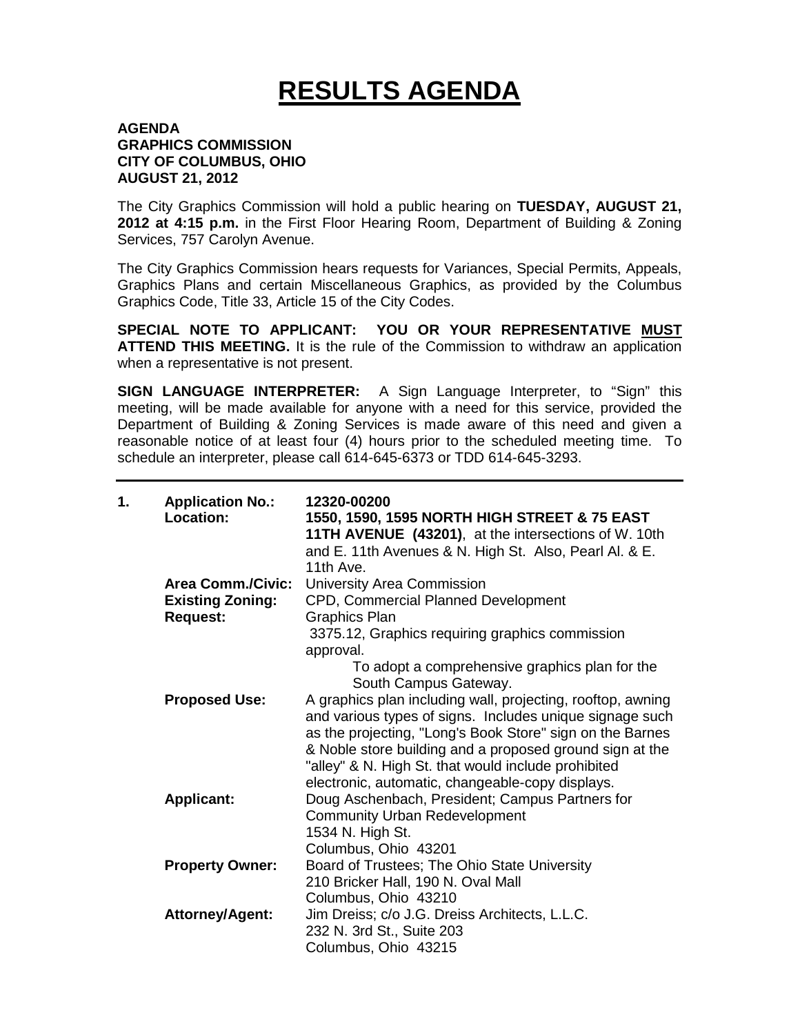## **RESULTS AGENDA**

## **AGENDA GRAPHICS COMMISSION CITY OF COLUMBUS, OHIO AUGUST 21, 2012**

The City Graphics Commission will hold a public hearing on **TUESDAY, AUGUST 21, 2012 at 4:15 p.m.** in the First Floor Hearing Room, Department of Building & Zoning Services, 757 Carolyn Avenue.

The City Graphics Commission hears requests for Variances, Special Permits, Appeals, Graphics Plans and certain Miscellaneous Graphics, as provided by the Columbus Graphics Code, Title 33, Article 15 of the City Codes.

**SPECIAL NOTE TO APPLICANT: YOU OR YOUR REPRESENTATIVE MUST ATTEND THIS MEETING.** It is the rule of the Commission to withdraw an application when a representative is not present.

**SIGN LANGUAGE INTERPRETER:** A Sign Language Interpreter, to "Sign" this meeting, will be made available for anyone with a need for this service, provided the Department of Building & Zoning Services is made aware of this need and given a reasonable notice of at least four (4) hours prior to the scheduled meeting time. To schedule an interpreter, please call 614-645-6373 or TDD 614-645-3293.

| 1. | <b>Application No.:</b><br>Location: | 12320-00200<br>1550, 1590, 1595 NORTH HIGH STREET & 75 EAST<br>11TH AVENUE (43201), at the intersections of W. 10th<br>and E. 11th Avenues & N. High St. Also, Pearl Al. & E.<br>11th Ave                                                        |
|----|--------------------------------------|--------------------------------------------------------------------------------------------------------------------------------------------------------------------------------------------------------------------------------------------------|
|    | <b>Area Comm./Civic:</b>             | University Area Commission                                                                                                                                                                                                                       |
|    | <b>Existing Zoning:</b>              | CPD, Commercial Planned Development                                                                                                                                                                                                              |
|    | <b>Request:</b>                      | <b>Graphics Plan</b>                                                                                                                                                                                                                             |
|    |                                      | 3375.12, Graphics requiring graphics commission<br>approval.                                                                                                                                                                                     |
|    |                                      | To adopt a comprehensive graphics plan for the<br>South Campus Gateway.                                                                                                                                                                          |
|    | <b>Proposed Use:</b>                 | A graphics plan including wall, projecting, rooftop, awning<br>and various types of signs. Includes unique signage such<br>as the projecting, "Long's Book Store" sign on the Barnes<br>& Noble store building and a proposed ground sign at the |
|    | <b>Applicant:</b>                    | "alley" & N. High St. that would include prohibited<br>electronic, automatic, changeable-copy displays.<br>Doug Aschenbach, President; Campus Partners for<br><b>Community Urban Redevelopment</b><br>1534 N. High St.<br>Columbus, Ohio 43201   |
|    | <b>Property Owner:</b>               | Board of Trustees; The Ohio State University<br>210 Bricker Hall, 190 N. Oval Mall<br>Columbus, Ohio 43210                                                                                                                                       |
|    | <b>Attorney/Agent:</b>               | Jim Dreiss; c/o J.G. Dreiss Architects, L.L.C.<br>232 N. 3rd St., Suite 203<br>Columbus, Ohio 43215                                                                                                                                              |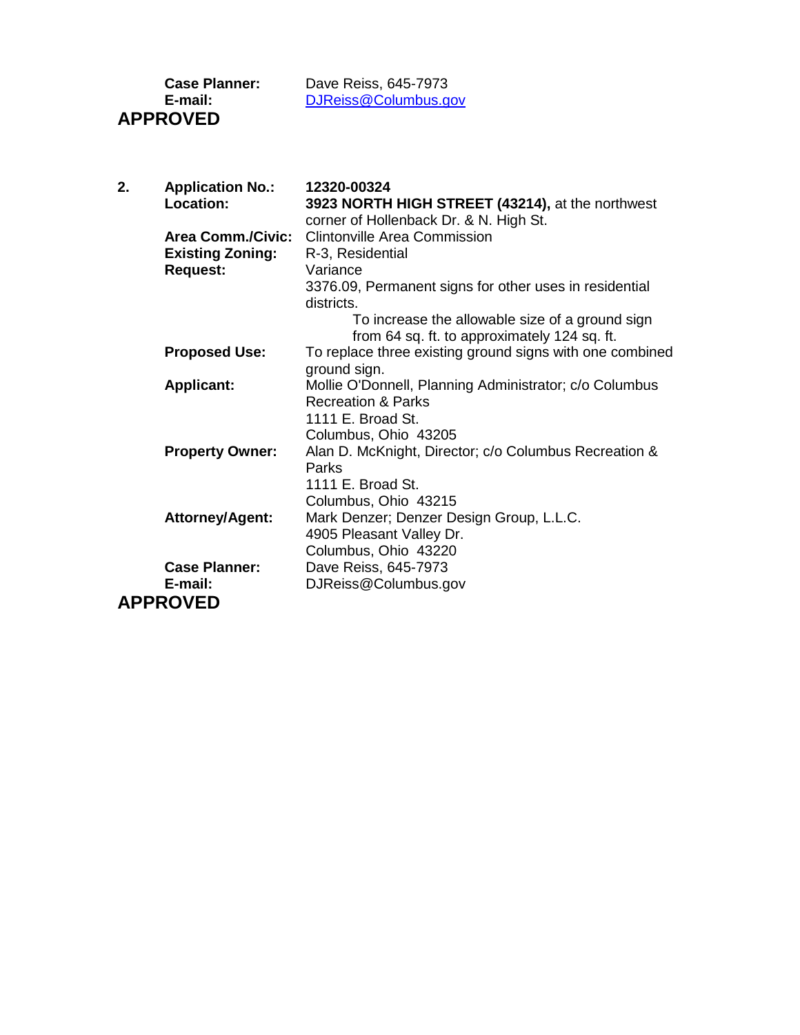**APPROVED**

**Case Planner:** Dave Reiss, 645-7973 **E-mail:** [DJReiss@Columbus.gov](mailto:DJReiss@Columbus.gov)

| Location:<br>3923 NORTH HIGH STREET (43214), at the northwest<br>corner of Hollenback Dr. & N. High St.<br><b>Clintonville Area Commission</b><br><b>Area Comm./Civic:</b><br><b>Existing Zoning:</b><br>R-3, Residential<br><b>Request:</b><br>Variance<br>3376.09, Permanent signs for other uses in residential<br>districts.<br>To increase the allowable size of a ground sign<br>from 64 sq. ft. to approximately 124 sq. ft.<br>To replace three existing ground signs with one combined<br><b>Proposed Use:</b><br>ground sign.<br>Mollie O'Donnell, Planning Administrator; c/o Columbus<br><b>Applicant:</b><br><b>Recreation &amp; Parks</b><br>1111 E. Broad St.<br>Columbus, Ohio 43205<br><b>Property Owner:</b><br>Alan D. McKnight, Director; c/o Columbus Recreation &<br>Parks<br>1111 E. Broad St.<br>Columbus, Ohio 43215<br><b>Attorney/Agent:</b><br>Mark Denzer; Denzer Design Group, L.L.C.<br>4905 Pleasant Valley Dr.<br>Columbus, Ohio 43220 |                      |                      |
|-------------------------------------------------------------------------------------------------------------------------------------------------------------------------------------------------------------------------------------------------------------------------------------------------------------------------------------------------------------------------------------------------------------------------------------------------------------------------------------------------------------------------------------------------------------------------------------------------------------------------------------------------------------------------------------------------------------------------------------------------------------------------------------------------------------------------------------------------------------------------------------------------------------------------------------------------------------------------|----------------------|----------------------|
|                                                                                                                                                                                                                                                                                                                                                                                                                                                                                                                                                                                                                                                                                                                                                                                                                                                                                                                                                                         |                      |                      |
|                                                                                                                                                                                                                                                                                                                                                                                                                                                                                                                                                                                                                                                                                                                                                                                                                                                                                                                                                                         |                      |                      |
|                                                                                                                                                                                                                                                                                                                                                                                                                                                                                                                                                                                                                                                                                                                                                                                                                                                                                                                                                                         |                      |                      |
|                                                                                                                                                                                                                                                                                                                                                                                                                                                                                                                                                                                                                                                                                                                                                                                                                                                                                                                                                                         |                      |                      |
|                                                                                                                                                                                                                                                                                                                                                                                                                                                                                                                                                                                                                                                                                                                                                                                                                                                                                                                                                                         |                      |                      |
|                                                                                                                                                                                                                                                                                                                                                                                                                                                                                                                                                                                                                                                                                                                                                                                                                                                                                                                                                                         |                      |                      |
|                                                                                                                                                                                                                                                                                                                                                                                                                                                                                                                                                                                                                                                                                                                                                                                                                                                                                                                                                                         |                      |                      |
|                                                                                                                                                                                                                                                                                                                                                                                                                                                                                                                                                                                                                                                                                                                                                                                                                                                                                                                                                                         |                      |                      |
|                                                                                                                                                                                                                                                                                                                                                                                                                                                                                                                                                                                                                                                                                                                                                                                                                                                                                                                                                                         |                      |                      |
|                                                                                                                                                                                                                                                                                                                                                                                                                                                                                                                                                                                                                                                                                                                                                                                                                                                                                                                                                                         |                      |                      |
|                                                                                                                                                                                                                                                                                                                                                                                                                                                                                                                                                                                                                                                                                                                                                                                                                                                                                                                                                                         |                      |                      |
|                                                                                                                                                                                                                                                                                                                                                                                                                                                                                                                                                                                                                                                                                                                                                                                                                                                                                                                                                                         |                      |                      |
|                                                                                                                                                                                                                                                                                                                                                                                                                                                                                                                                                                                                                                                                                                                                                                                                                                                                                                                                                                         |                      |                      |
|                                                                                                                                                                                                                                                                                                                                                                                                                                                                                                                                                                                                                                                                                                                                                                                                                                                                                                                                                                         |                      |                      |
|                                                                                                                                                                                                                                                                                                                                                                                                                                                                                                                                                                                                                                                                                                                                                                                                                                                                                                                                                                         |                      |                      |
|                                                                                                                                                                                                                                                                                                                                                                                                                                                                                                                                                                                                                                                                                                                                                                                                                                                                                                                                                                         |                      |                      |
|                                                                                                                                                                                                                                                                                                                                                                                                                                                                                                                                                                                                                                                                                                                                                                                                                                                                                                                                                                         |                      |                      |
|                                                                                                                                                                                                                                                                                                                                                                                                                                                                                                                                                                                                                                                                                                                                                                                                                                                                                                                                                                         |                      |                      |
|                                                                                                                                                                                                                                                                                                                                                                                                                                                                                                                                                                                                                                                                                                                                                                                                                                                                                                                                                                         |                      |                      |
|                                                                                                                                                                                                                                                                                                                                                                                                                                                                                                                                                                                                                                                                                                                                                                                                                                                                                                                                                                         |                      |                      |
|                                                                                                                                                                                                                                                                                                                                                                                                                                                                                                                                                                                                                                                                                                                                                                                                                                                                                                                                                                         |                      |                      |
|                                                                                                                                                                                                                                                                                                                                                                                                                                                                                                                                                                                                                                                                                                                                                                                                                                                                                                                                                                         |                      |                      |
|                                                                                                                                                                                                                                                                                                                                                                                                                                                                                                                                                                                                                                                                                                                                                                                                                                                                                                                                                                         |                      |                      |
|                                                                                                                                                                                                                                                                                                                                                                                                                                                                                                                                                                                                                                                                                                                                                                                                                                                                                                                                                                         | <b>Case Planner:</b> | Dave Reiss, 645-7973 |
| E-mail:<br>DJReiss@Columbus.gov                                                                                                                                                                                                                                                                                                                                                                                                                                                                                                                                                                                                                                                                                                                                                                                                                                                                                                                                         |                      |                      |
|                                                                                                                                                                                                                                                                                                                                                                                                                                                                                                                                                                                                                                                                                                                                                                                                                                                                                                                                                                         | <b>APPROVED</b>      |                      |